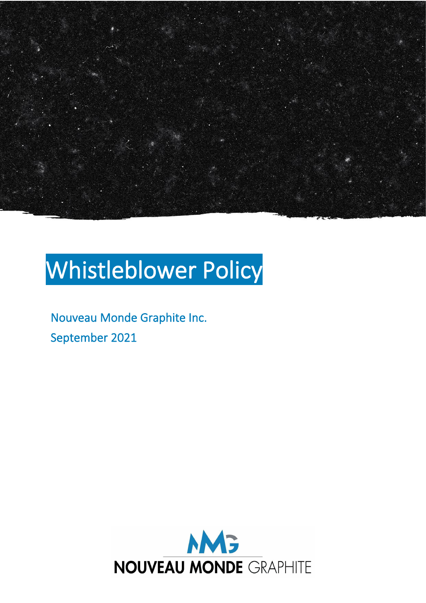

# Whistleblower Policy

Nouveau Monde Graphite Inc. September 2021

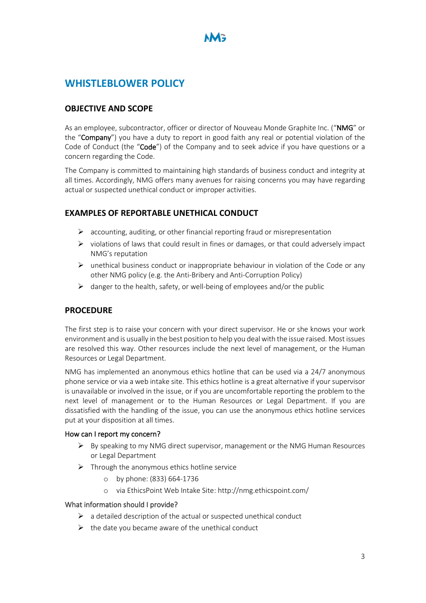## **WHISTLEBLOWER POLICY**

## **OBJECTIVE AND SCOPE**

As an employee, subcontractor, officer or director of Nouveau Monde Graphite Inc. ("NMG" or the "Company") you have a duty to report in good faith any real or potential violation of the Code of Conduct (the "Code") of the Company and to seek advice if you have questions or a concern regarding the Code.

The Company is committed to maintaining high standards of business conduct and integrity at all times. Accordingly, NMG offers many avenues for raising concerns you may have regarding actual or suspected unethical conduct or improper activities.

## **EXAMPLES OF REPORTABLE UNETHICAL CONDUCT**

- $\triangleright$  accounting, auditing, or other financial reporting fraud or misrepresentation
- $\triangleright$  violations of laws that could result in fines or damages, or that could adversely impact NMG's reputation
- $\triangleright$  unethical business conduct or inappropriate behaviour in violation of the Code or any other NMG policy (e.g. the Anti-Bribery and Anti-Corruption Policy)
- $\triangleright$  danger to the health, safety, or well-being of employees and/or the public

## **PROCEDURE**

The first step is to raise your concern with your direct supervisor. He or she knows your work environment and is usually in the best position to help you deal with the issue raised. Most issues are resolved this way. Other resources include the next level of management, or the Human Resources or Legal Department.

NMG has implemented an anonymous ethics hotline that can be used via a 24/7 anonymous phone service or via a web intake site. This ethics hotline is a great alternative if your supervisor is unavailable or involved in the issue, or if you are uncomfortable reporting the problem to the next level of management or to the Human Resources or Legal Department. If you are dissatisfied with the handling of the issue, you can use the anonymous ethics hotline services put at your disposition at all times.

#### How can I report my concern?

- $\triangleright$  By speaking to my NMG direct supervisor, management or the NMG Human Resources or Legal Department
- $\triangleright$  Through the anonymous ethics hotline service
	- o by phone: (833) 664-1736
	- o via EthicsPoint Web Intake Site: http://nmg.ethicspoint.com/

#### What information should I provide?

- $\triangleright$  a detailed description of the actual or suspected unethical conduct
- $\triangleright$  the date you became aware of the unethical conduct